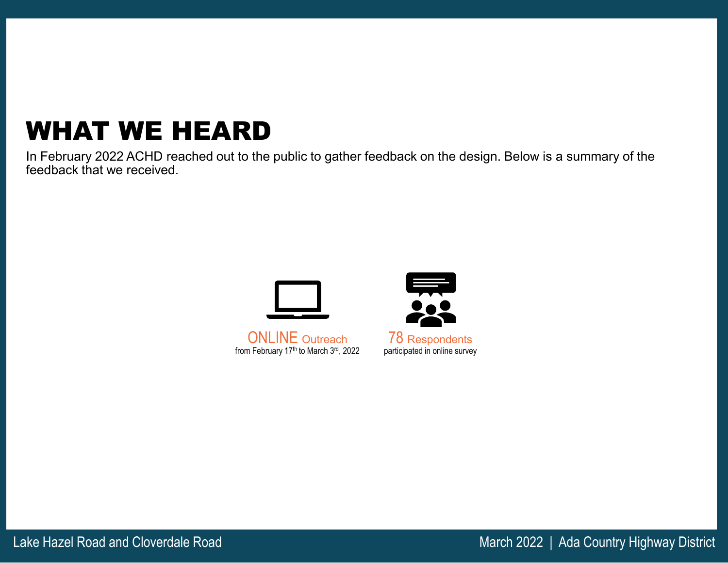# WHAT WE HEARD

In February 2022 ACHD reached out to the public to gather feedback on the design. Below is a summary of the feedback that we received.



ONLINE Outreach from February 17th to March 3rd, 2022



78 Respondents participated in online survey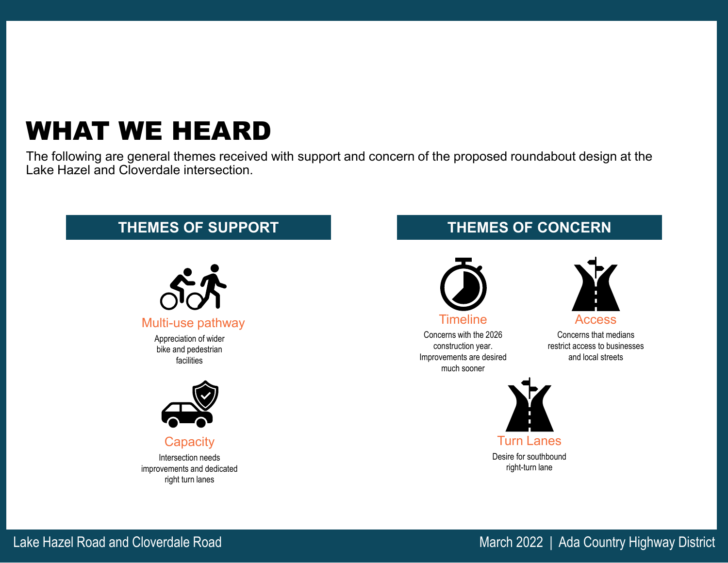## WHAT WE HEARD

The following are general themes received with support and concern of the proposed roundabout design at the Lake Hazel and Cloverdale intersection.

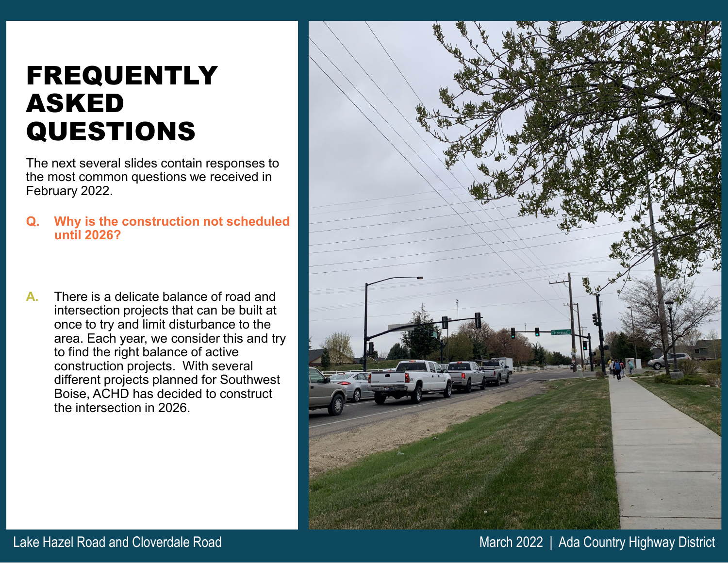### FREQUENTLY ASKED QUESTIONS

The next several slides contain responses to the most common questions we received in February 2022.

- **Q. Why is the construction not scheduled until 2026?**
- **A.** There is a delicate balance of road and intersection projects that can be built at once to try and limit disturbance to the area. Each year, we consider this and try to find the right balance of active construction projects. With several different projects planned for Southwest Boise, ACHD has decided to construct the intersection in 2026.



Lake Hazel Road and Cloverdale Road March 2022 | Ada Country Highway District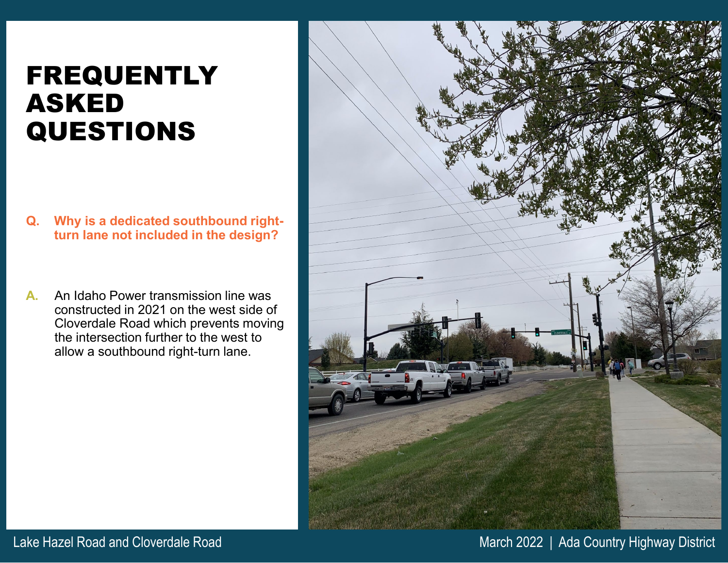### FREQUENTLY ASKED QUESTIONS

- **Q. Why is a dedicated southbound rightturn lane not included in the design?**
- **A.** An Idaho Power transmission line was constructed in 2021 on the west side of Cloverdale Road which prevents moving the intersection further to the west to allow a southbound right-turn lane.



Lake Hazel Road and Cloverdale Road March 2022 | Ada Country Highway District